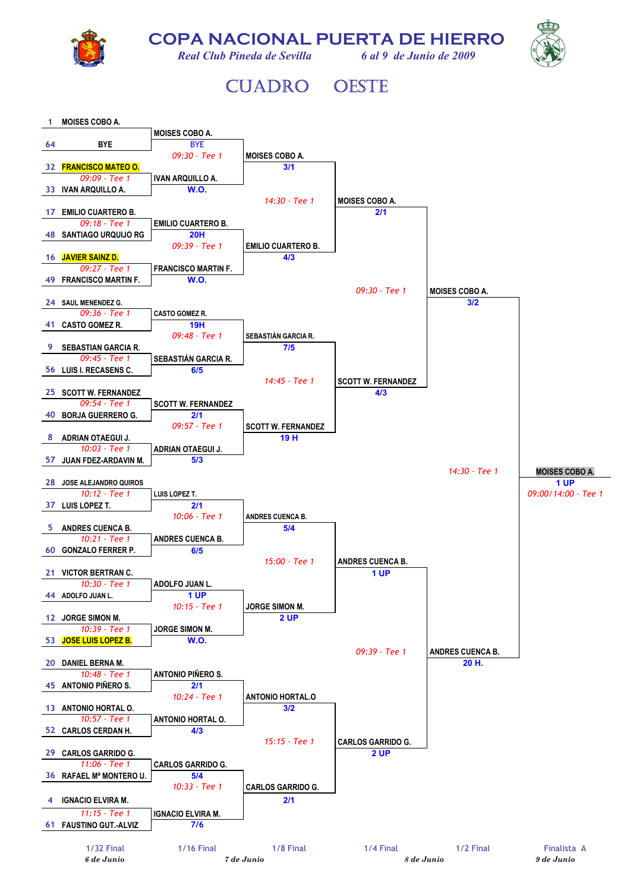

**COPA NACIONAL PUERTA DE HIERRO** 



*Real Club Pineda de Sevilla 6 al 9 de Junio de 2009* 

## CUADRO OESTE

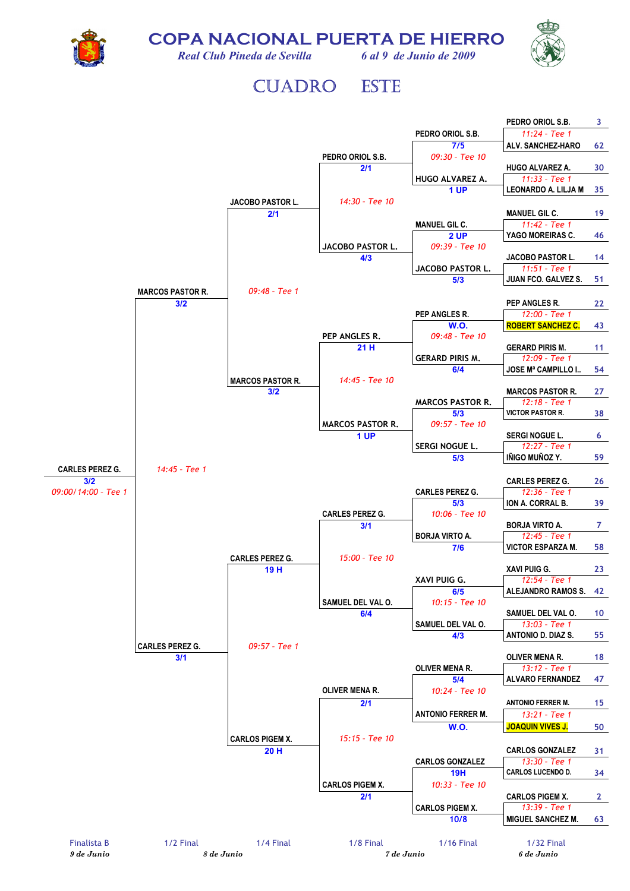**COPA NACIONAL PUERTA DE HIERRO** 



*Real Club Pineda de Sevilla 6 al 9 de Junio de 2009* 



## CUADRO ESTE